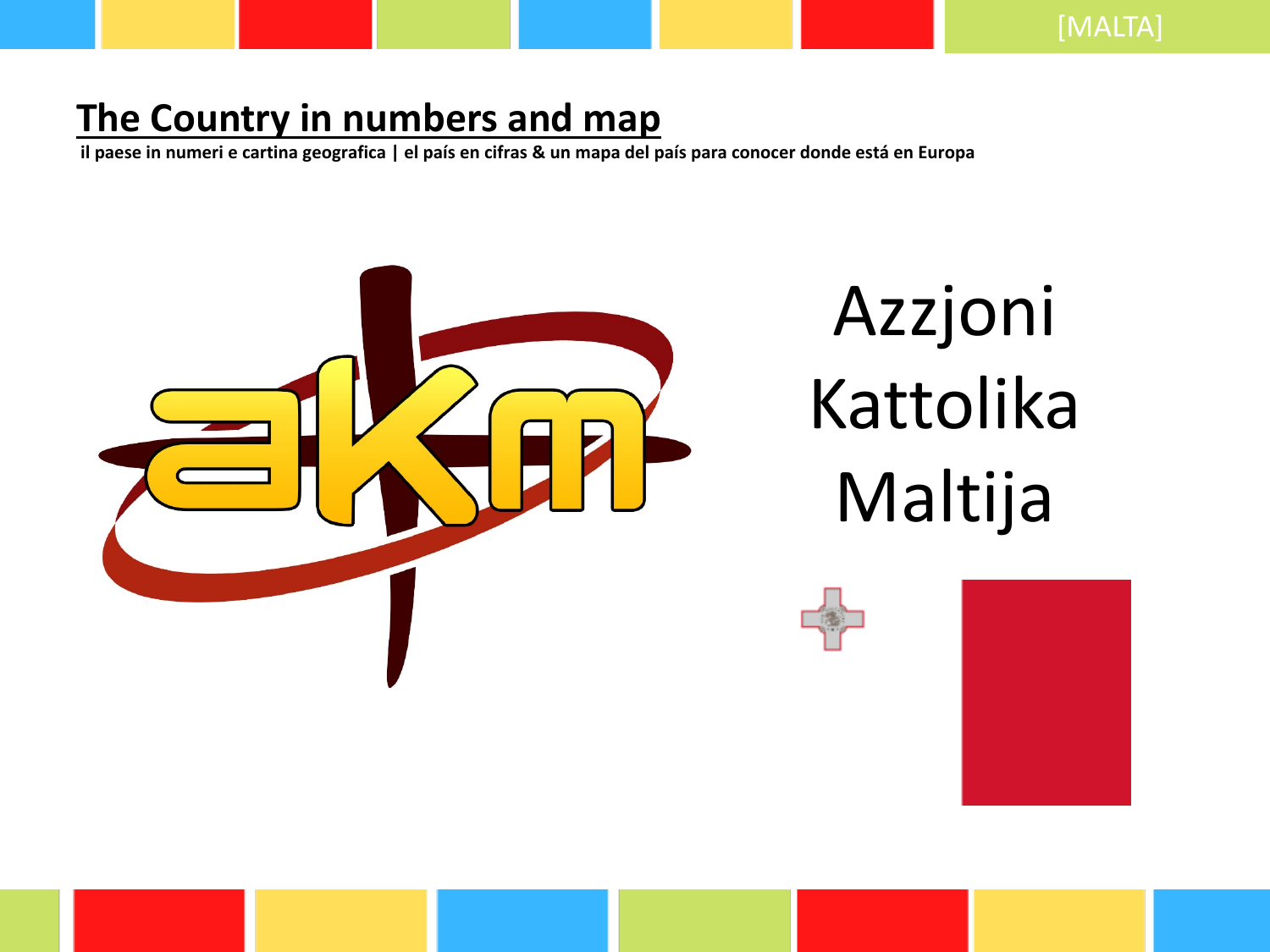## **The Country in numbers and map**

**il paese in numeri e cartina geografica | el país en cifras & un mapa del país para conocer donde está en Europa**



# Azzjoni Kattolika Maltija



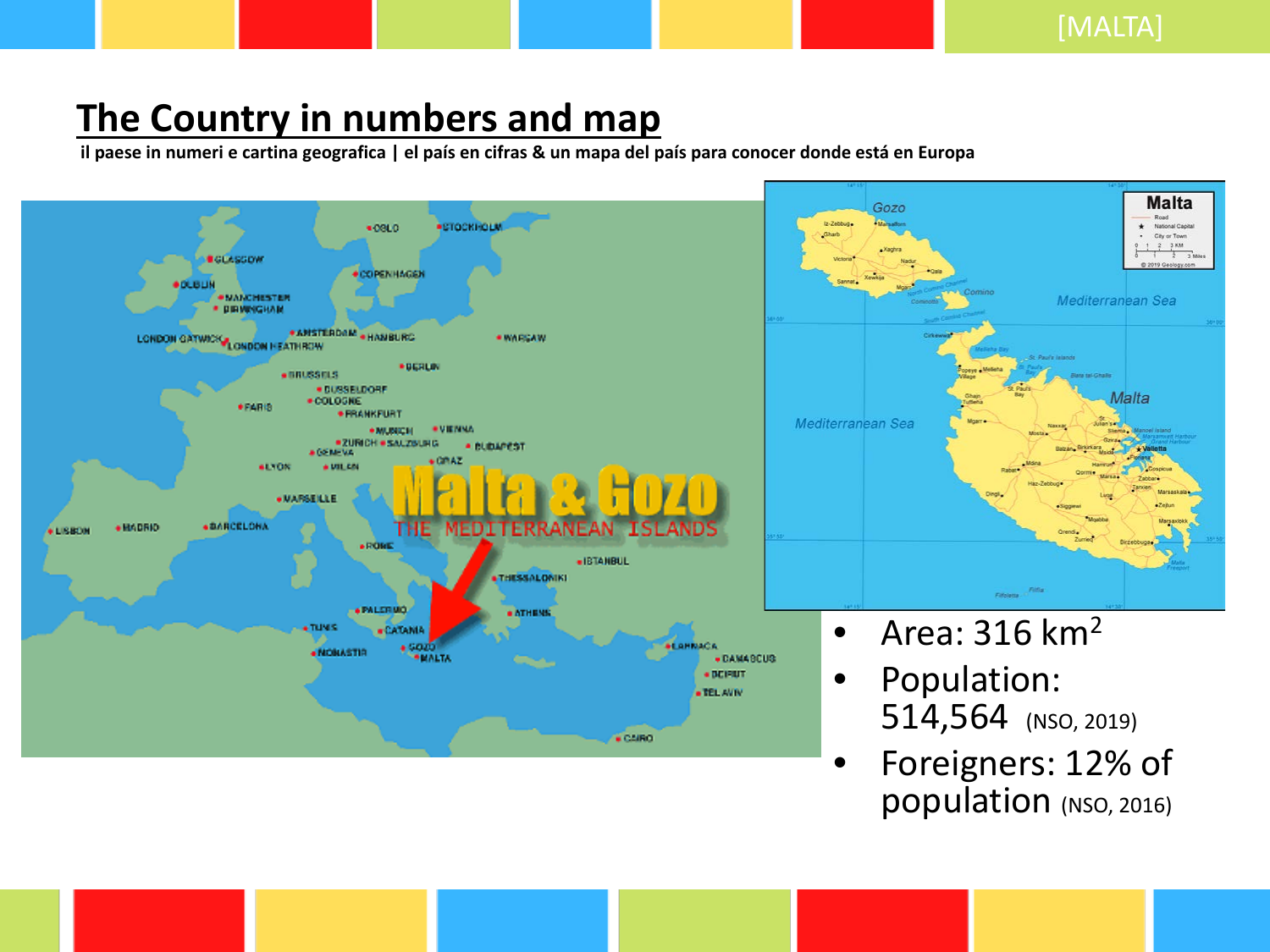### **The Country in numbers and map**

**il paese in numeri e cartina geografica | el país en cifras & un mapa del país para conocer donde está en Europa**



• Foreigners: 12% of population (NSO, 2016)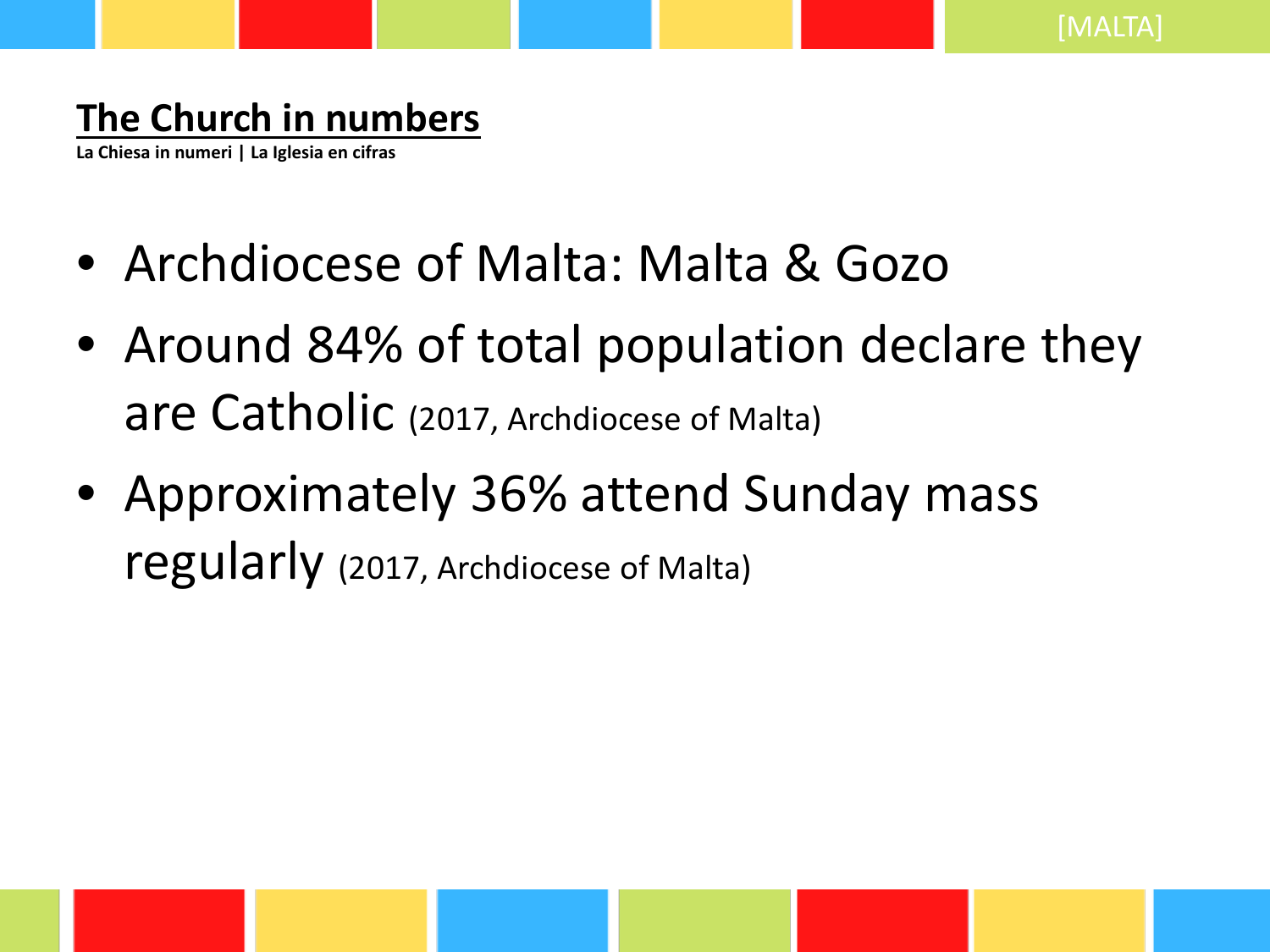## **The Church in numbers**

**La Chiesa in numeri | La Iglesia en cifras**

- Archdiocese of Malta: Malta & Gozo
- Around 84% of total population declare they are Catholic (2017, Archdiocese of Malta)
- Approximately 36% attend Sunday mass regularly (2017, Archdiocese of Malta)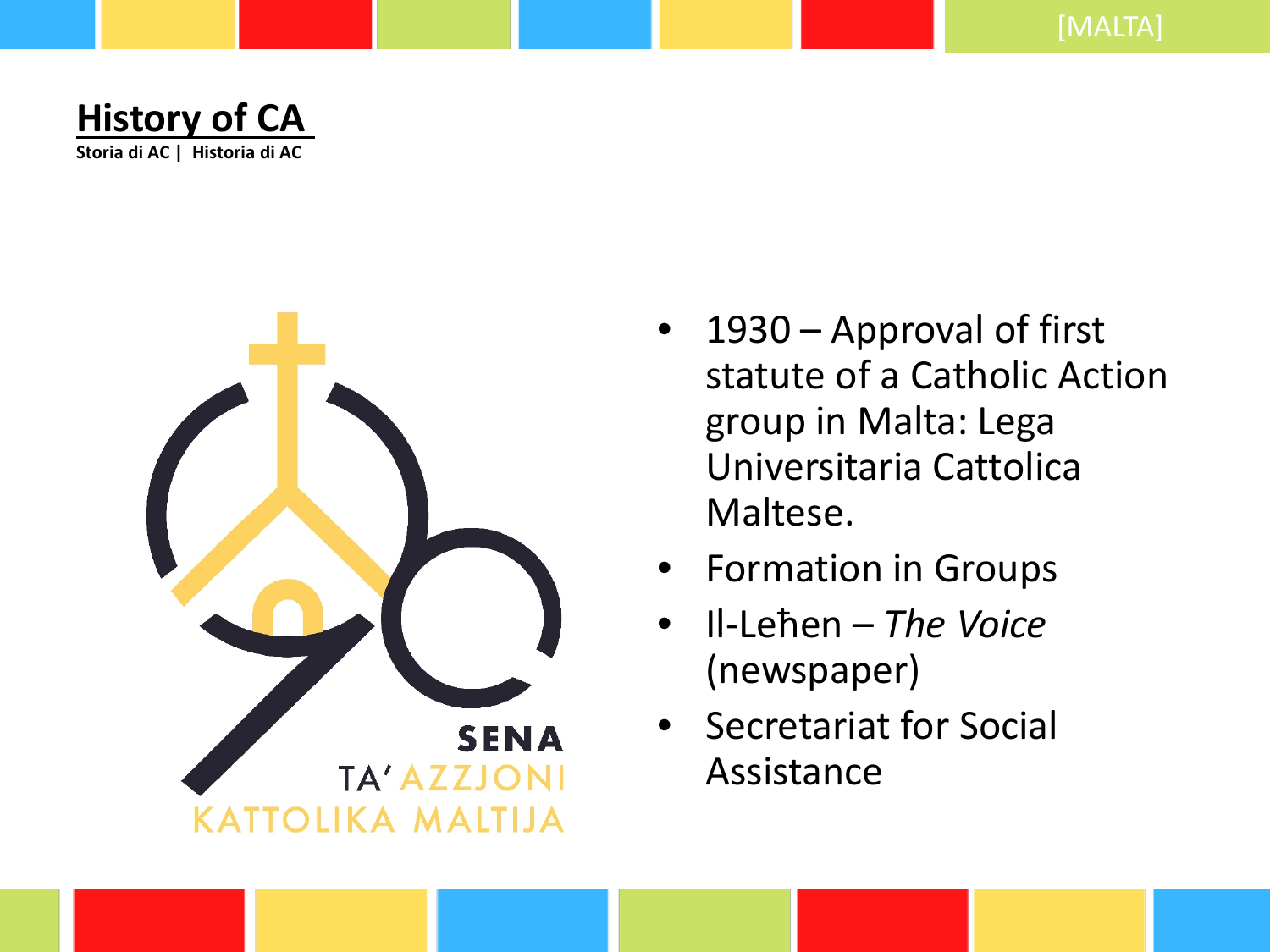



- 1930 Approval of first statute of a Catholic Action group in Malta: Lega Universitaria Cattolica Maltese.
- Formation in Groups
- Il-Leħen *The Voice* (newspaper)
- Secretariat for Social Assistance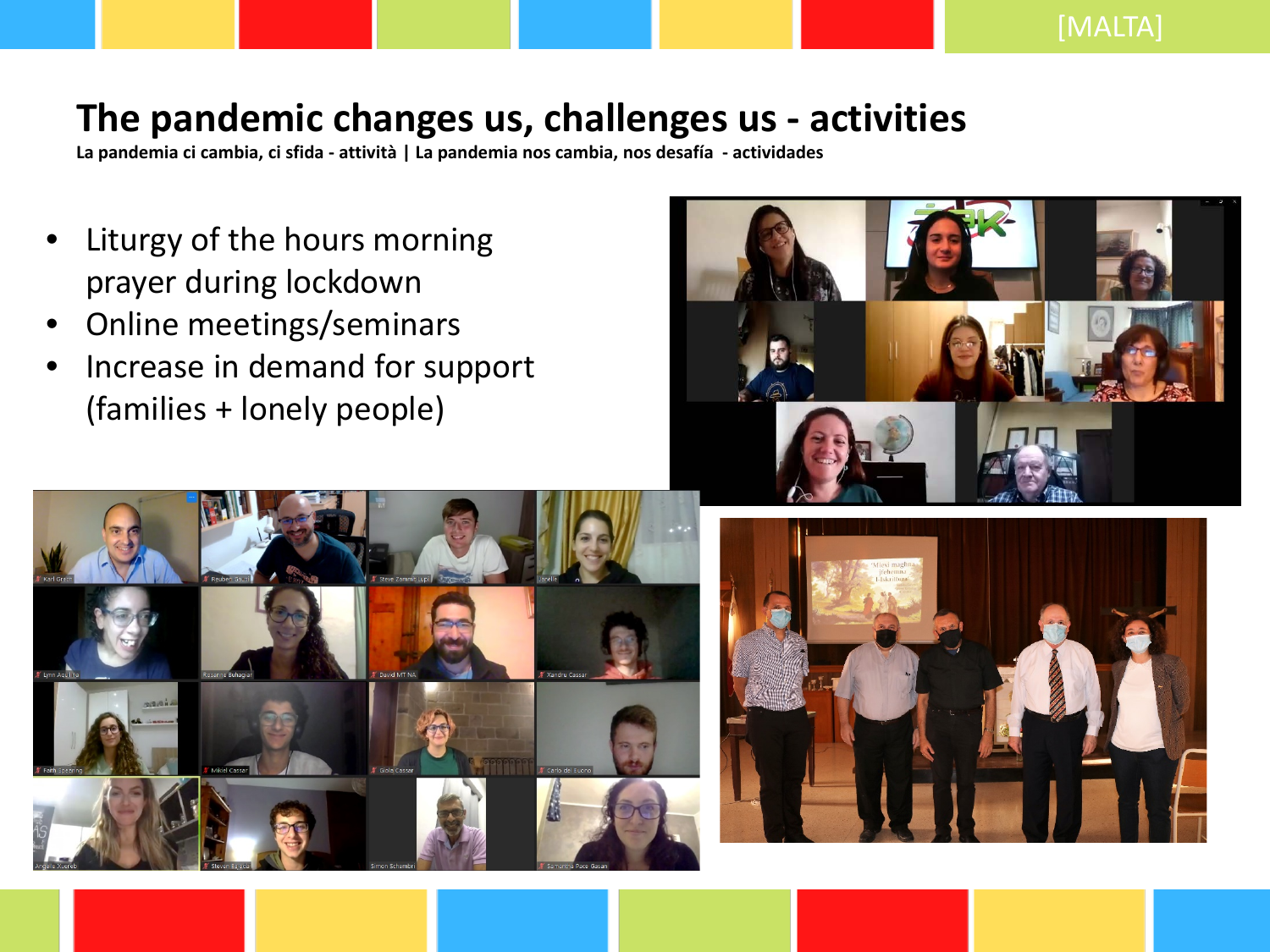#### **The pandemic changes us, challenges us - activities**

**La pandemia ci cambia, ci sfida - attività | La pandemia nos cambia, nos desafía - actividades**

- Liturgy of the hours morning prayer during lockdown
- Online meetings/seminars
- Increase in demand for support (families + lonely people)